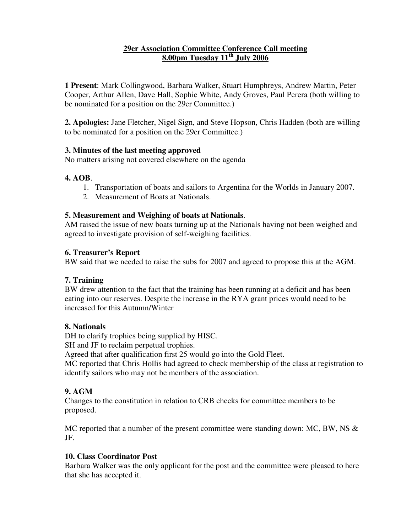### **29er Association Committee Conference Call meeting 8.00pm Tuesday 11 th July 2006**

**1 Present**: Mark Collingwood, Barbara Walker, Stuart Humphreys, Andrew Martin, Peter Cooper, Arthur Allen, Dave Hall, Sophie White, Andy Groves, Paul Perera (both willing to be nominated for a position on the 29er Committee.)

**2. Apologies:** Jane Fletcher, Nigel Sign, and Steve Hopson, Chris Hadden (both are willing to be nominated for a position on the 29er Committee.)

### **3. Minutes of the last meeting approved**

No matters arising not covered elsewhere on the agenda

## **4. AOB**.

- 1. Transportation of boats and sailors to Argentina for the Worlds in January 2007.
- 2. Measurement of Boats at Nationals.

## **5. Measurement and Weighing of boats at Nationals**.

AM raised the issue of new boats turning up at the Nationals having not been weighed and agreed to investigate provision of self-weighing facilities.

## **6. Treasurer's Report**

BW said that we needed to raise the subs for 2007 and agreed to propose this at the AGM.

# **7. Training**

BW drew attention to the fact that the training has been running at a deficit and has been eating into our reserves. Despite the increase in the RYA grant prices would need to be increased for this Autumn/Winter

### **8. Nationals**

DH to clarify trophies being supplied by HISC.

SH and JF to reclaim perpetual trophies.

Agreed that after qualification first 25 would go into the Gold Fleet.

MC reported that Chris Hollis had agreed to check membership of the class at registration to identify sailors who may not be members of the association.

# **9. AGM**

Changes to the constitution in relation to CRB checks for committee members to be proposed.

MC reported that a number of the present committee were standing down: MC, BW, NS & JF.

# **10. Class Coordinator Post**

Barbara Walker was the only applicant for the post and the committee were pleased to here that she has accepted it.